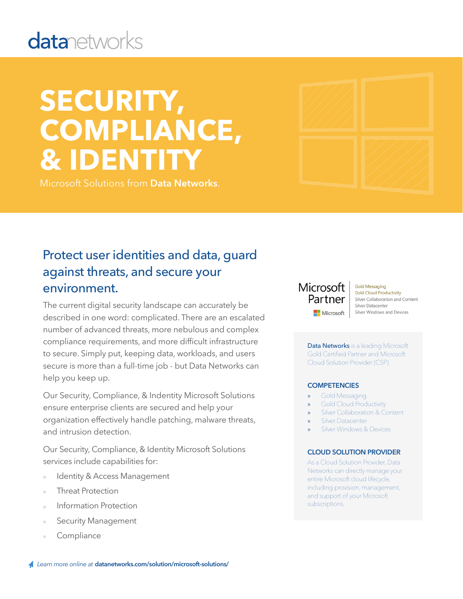# **datanetworks**

# **SECURITY, COMPLIANCE, & IDENTITY**

Microsoft Solutions from **Data Networks**.



### Protect user identities and data, guard against threats, and secure your environment.

The current digital security landscape can accurately be described in one word: complicated. There are an escalated number of advanced threats, more nebulous and complex compliance requirements, and more difficult infrastructure to secure. Simply put, keeping data, workloads, and users secure is more than a full-time job - but Data Networks can help you keep up.

Our Security, Compliance, & Indentity Microsoft Solutions ensure enterprise clients are secured and help your organization effectively handle patching, malware threats, and intrusion detection.

Our Security, Compliance, & Identity Microsoft Solutions services include capabilities for:

- Identity & Access Management
- **Threat Protection**
- Information Protection
- **Security Management**
- **Compliance**

### Microsoft Partner Microsoft

**Gold Messaging Gold Cloud Productivity** Silver Collaboration and Content Silver Datacenter Silver Windows and Devices

Data Networks is a leading Microsoft Gold Certified Partner and Microsoft Cloud Solution Provider (CSP).

#### **COMPETENCIES**

- Gold Messaging
- » Gold Cloud Productivity
- Silver Collaboration & Content
- **Silver Datacenter**
- Silver Windows & Devices

#### **CLOUD SOLUTION PROVIDER**

As a Cloud Solution Provider, Data Networks can directly manage your entire Microsoft cloud lifecycle, including provision, management, and support of your Microsoft subscriptions.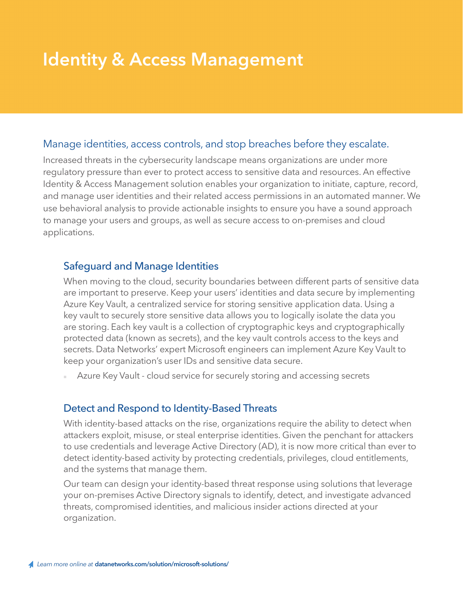## **Identity & Access Management**

#### Manage identities, access controls, and stop breaches before they escalate.

Increased threats in the cybersecurity landscape means organizations are under more regulatory pressure than ever to protect access to sensitive data and resources. An effective Identity & Access Management solution enables your organization to initiate, capture, record, and manage user identities and their related access permissions in an automated manner. We use behavioral analysis to provide actionable insights to ensure you have a sound approach to manage your users and groups, as well as secure access to on-premises and cloud applications.

#### Safeguard and Manage Identities

When moving to the cloud, security boundaries between different parts of sensitive data are important to preserve. Keep your users' identities and data secure by implementing Azure Key Vault, a centralized service for storing sensitive application data. Using a key vault to securely store sensitive data allows you to logically isolate the data you are storing. Each key vault is a collection of cryptographic keys and cryptographically protected data (known as secrets), and the key vault controls access to the keys and secrets. Data Networks' expert Microsoft engineers can implement Azure Key Vault to keep your organization's user IDs and sensitive data secure.

Azure Key Vault - cloud service for securely storing and accessing secrets

#### Detect and Respond to Identity-Based Threats

With identity-based attacks on the rise, organizations require the ability to detect when attackers exploit, misuse, or steal enterprise identities. Given the penchant for attackers to use credentials and leverage Active Directory (AD), it is now more critical than ever to detect identity-based activity by protecting credentials, privileges, cloud entitlements, and the systems that manage them.

Our team can design your identity-based threat response using solutions that leverage your on-premises Active Directory signals to identify, detect, and investigate advanced threats, compromised identities, and malicious insider actions directed at your organization.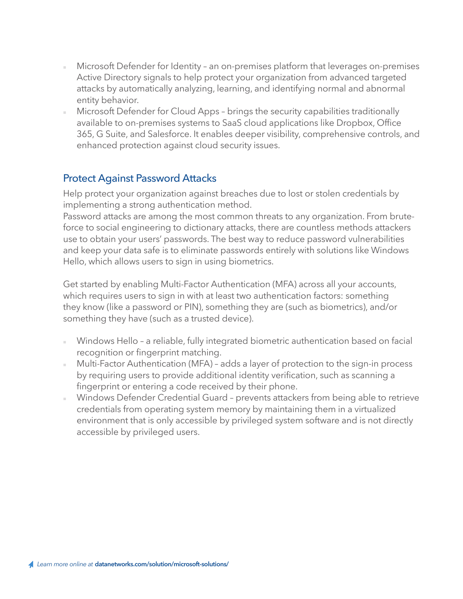- Microsoft Defender for Identity an on-premises platform that leverages on-premises Active Directory signals to help protect your organization from advanced targeted attacks by automatically analyzing, learning, and identifying normal and abnormal entity behavior.
- Microsoft Defender for Cloud Apps brings the security capabilities traditionally available to on-premises systems to SaaS cloud applications like Dropbox, Office 365, G Suite, and Salesforce. It enables deeper visibility, comprehensive controls, and enhanced protection against cloud security issues.

#### Protect Against Password Attacks

Help protect your organization against breaches due to lost or stolen credentials by implementing a strong authentication method.

Hello, which allows users to sign in using biometrics. **ALIGNMENT** Password attacks are among the most common threats to any organization. From bruteforce to social engineering to dictionary attacks, there are countless methods attackers use to obtain your users' passwords. The best way to reduce password vulnerabilities and keep your data safe is to eliminate passwords entirely with solutions like Windows

Get started by enabling Multi-Factor Authentication (MFA) across all your accounts, experience with fewer with fewer which requires users to sign in with at least two authentication factors: something they know (like a password or PIN), something they are (such as biometrics), and/or something they have (such as a trusted device).

- Windows Hello a reliable, fully integrated biometric authentication based on facial recognition or fingerprint matching.
- Multi-Factor Authentication (MFA) adds a layer of protection to the sign-in process by requiring users to provide additional identity verification, such as scanning a fingerprint or entering a code received by their phone.
- Windows Defender Credential Guard prevents attackers from being able to retrieve credentials from operating system memory by maintaining them in a virtualized environment that is only accessible by privileged system software and is not directly accessible by privileged users.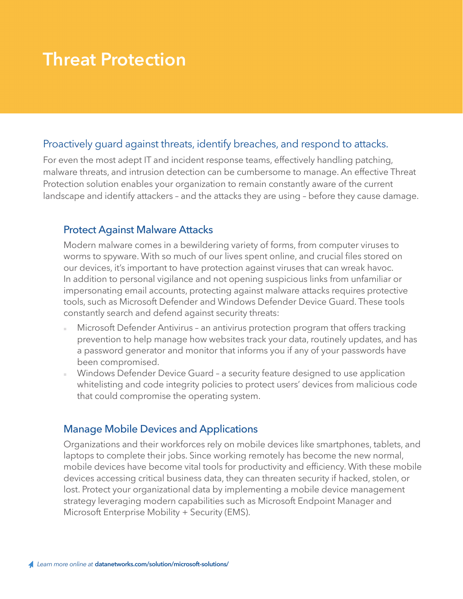### **Threat Protection**

#### Proactively guard against threats, identify breaches, and respond to attacks.

For even the most adept IT and incident response teams, effectively handling patching, malware threats, and intrusion detection can be cumbersome to manage. An effective Threat Protection solution enables your organization to remain constantly aware of the current landscape and identify attackers – and the attacks they are using – before they cause damage.

#### Protect Against Malware Attacks

Modern malware comes in a bewildering variety of forms, from computer viruses to worms to spyware. With so much of our lives spent online, and crucial files stored on our devices, it's important to have protection against viruses that can wreak havoc. In addition to personal vigilance and not opening suspicious links from unfamiliar or impersonating email accounts, protecting against malware attacks requires protective tools, such as Microsoft Defender and Windows Defender Device Guard. These tools constantly search and defend against security threats:

- Microsoft Defender Antivirus an antivirus protection program that offers tracking prevention to help manage how websites track your data, routinely updates, and has a password generator and monitor that informs you if any of your passwords have been compromised.
- Windows Defender Device Guard a security feature designed to use application whitelisting and code integrity policies to protect users' devices from malicious code that could compromise the operating system.

#### Manage Mobile Devices and Applications

Organizations and their workforces rely on mobile devices like smartphones, tablets, and laptops to complete their jobs. Since working remotely has become the new normal, mobile devices have become vital tools for productivity and efficiency. With these mobile devices accessing critical business data, they can threaten security if hacked, stolen, or lost. Protect your organizational data by implementing a mobile device management strategy leveraging modern capabilities such as Microsoft Endpoint Manager and Microsoft Enterprise Mobility + Security (EMS).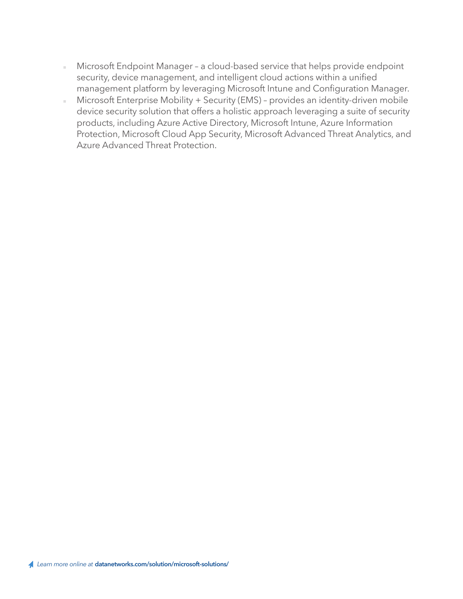- Microsoft Endpoint Manager a cloud-based service that helps provide endpoint security, device management, and intelligent cloud actions within a unified management platform by leveraging Microsoft Intune and Configuration Manager.
- Microsoft Enterprise Mobility + Security (EMS) provides an identity-driven mobile device security solution that offers a holistic approach leveraging a suite of security products, including Azure Active Directory, Microsoft Intune, Azure Information Protection, Microsoft Cloud App Security, Microsoft Advanced Threat Analytics, and Azure Advanced Threat Protection.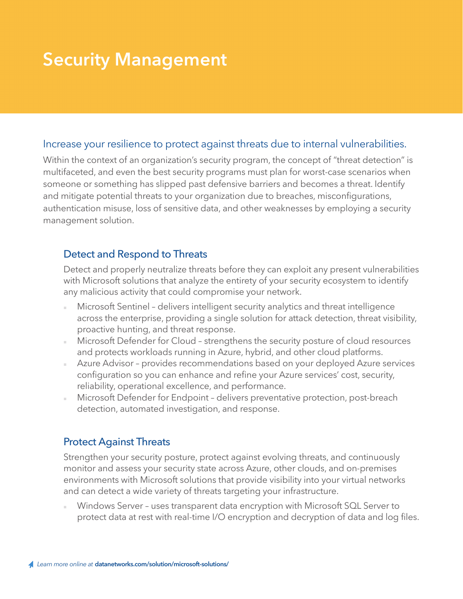## **Security Management**

#### Increase your resilience to protect against threats due to internal vulnerabilities.

Within the context of an organization's security program, the concept of "threat detection" is multifaceted, and even the best security programs must plan for worst-case scenarios when someone or something has slipped past defensive barriers and becomes a threat. Identify and mitigate potential threats to your organization due to breaches, misconfigurations, authentication misuse, loss of sensitive data, and other weaknesses by employing a security management solution.

#### Detect and Respond to Threats

Detect and properly neutralize threats before they can exploit any present vulnerabilities with Microsoft solutions that analyze the entirety of your security ecosystem to identify any malicious activity that could compromise your network.

- Microsoft Sentinel delivers intelligent security analytics and threat intelligence across the enterprise, providing a single solution for attack detection, threat visibility, proactive hunting, and threat response.
- Microsoft Defender for Cloud strengthens the security posture of cloud resources and protects workloads running in Azure, hybrid, and other cloud platforms.
- Azure Advisor provides recommendations based on your deployed Azure services configuration so you can enhance and refine your Azure services' cost, security, reliability, operational excellence, and performance.
- Microsoft Defender for Endpoint delivers preventative protection, post-breach detection, automated investigation, and response.

#### Protect Against Threats

Strengthen your security posture, protect against evolving threats, and continuously monitor and assess your security state across Azure, other clouds, and on-premises environments with Microsoft solutions that provide visibility into your virtual networks and can detect a wide variety of threats targeting your infrastructure.

Windows Server - uses transparent data encryption with Microsoft SQL Server to protect data at rest with real-time I/O encryption and decryption of data and log files.